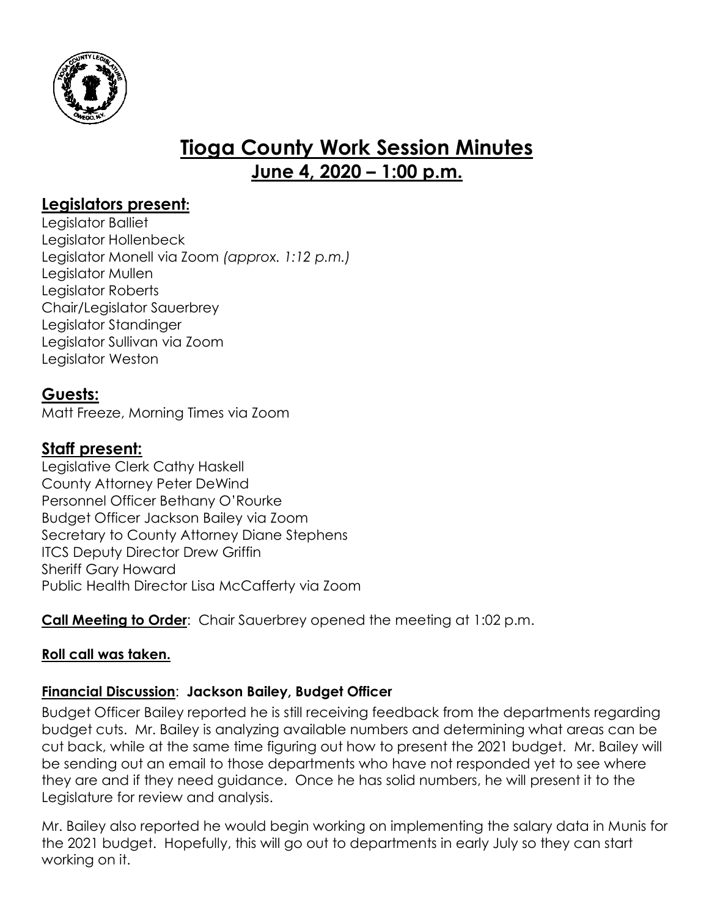

# **Tioga County Work Session Minutes June 4, 2020 – 1:00 p.m.**

### **Legislators present:**

Legislator Balliet Legislator Hollenbeck Legislator Monell via Zoom *(approx. 1:12 p.m.)* Legislator Mullen Legislator Roberts Chair/Legislator Sauerbrey Legislator Standinger Legislator Sullivan via Zoom Legislator Weston

## **Guests:**

Matt Freeze, Morning Times via Zoom

## **Staff present:**

Legislative Clerk Cathy Haskell County Attorney Peter DeWind Personnel Officer Bethany O'Rourke Budget Officer Jackson Bailey via Zoom Secretary to County Attorney Diane Stephens ITCS Deputy Director Drew Griffin Sheriff Gary Howard Public Health Director Lisa McCafferty via Zoom

**Call Meeting to Order**: Chair Sauerbrey opened the meeting at 1:02 p.m.

#### **Roll call was taken.**

#### **Financial Discussion**: **Jackson Bailey, Budget Officer**

Budget Officer Bailey reported he is still receiving feedback from the departments regarding budget cuts. Mr. Bailey is analyzing available numbers and determining what areas can be cut back, while at the same time figuring out how to present the 2021 budget. Mr. Bailey will be sending out an email to those departments who have not responded yet to see where they are and if they need guidance. Once he has solid numbers, he will present it to the Legislature for review and analysis.

Mr. Bailey also reported he would begin working on implementing the salary data in Munis for the 2021 budget. Hopefully, this will go out to departments in early July so they can start working on it.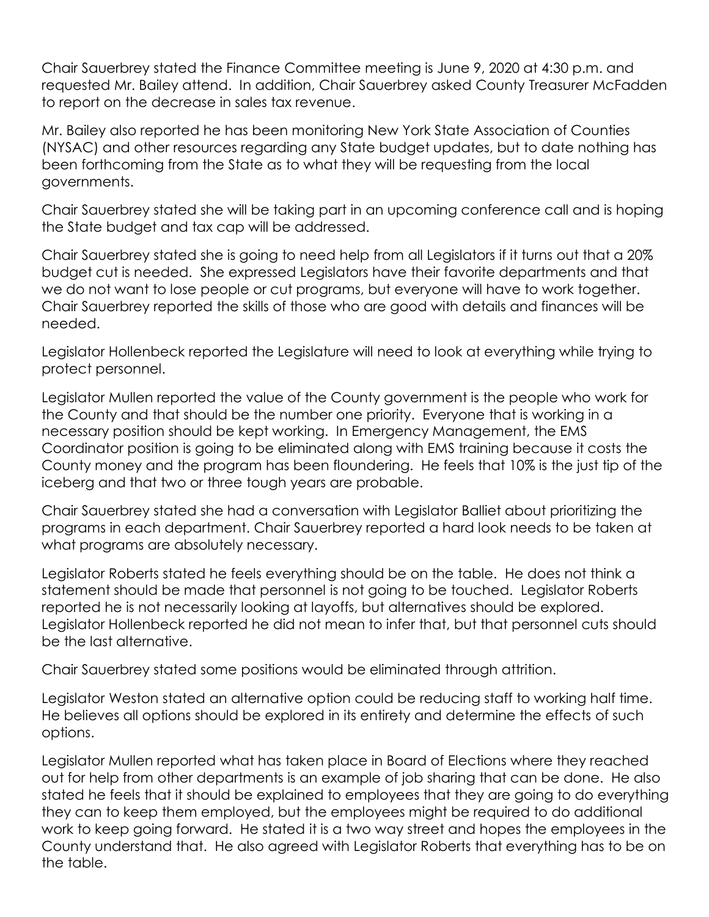Chair Sauerbrey stated the Finance Committee meeting is June 9, 2020 at 4:30 p.m. and requested Mr. Bailey attend. In addition, Chair Sauerbrey asked County Treasurer McFadden to report on the decrease in sales tax revenue.

Mr. Bailey also reported he has been monitoring New York State Association of Counties (NYSAC) and other resources regarding any State budget updates, but to date nothing has been forthcoming from the State as to what they will be requesting from the local governments.

Chair Sauerbrey stated she will be taking part in an upcoming conference call and is hoping the State budget and tax cap will be addressed.

Chair Sauerbrey stated she is going to need help from all Legislators if it turns out that a 20% budget cut is needed. She expressed Legislators have their favorite departments and that we do not want to lose people or cut programs, but everyone will have to work together. Chair Sauerbrey reported the skills of those who are good with details and finances will be needed.

Legislator Hollenbeck reported the Legislature will need to look at everything while trying to protect personnel.

Legislator Mullen reported the value of the County government is the people who work for the County and that should be the number one priority. Everyone that is working in a necessary position should be kept working. In Emergency Management, the EMS Coordinator position is going to be eliminated along with EMS training because it costs the County money and the program has been floundering. He feels that 10% is the just tip of the iceberg and that two or three tough years are probable.

Chair Sauerbrey stated she had a conversation with Legislator Balliet about prioritizing the programs in each department. Chair Sauerbrey reported a hard look needs to be taken at what programs are absolutely necessary.

Legislator Roberts stated he feels everything should be on the table. He does not think a statement should be made that personnel is not going to be touched. Legislator Roberts reported he is not necessarily looking at layoffs, but alternatives should be explored. Legislator Hollenbeck reported he did not mean to infer that, but that personnel cuts should be the last alternative.

Chair Sauerbrey stated some positions would be eliminated through attrition.

Legislator Weston stated an alternative option could be reducing staff to working half time. He believes all options should be explored in its entirety and determine the effects of such options.

Legislator Mullen reported what has taken place in Board of Elections where they reached out for help from other departments is an example of job sharing that can be done. He also stated he feels that it should be explained to employees that they are going to do everything they can to keep them employed, but the employees might be required to do additional work to keep going forward. He stated it is a two way street and hopes the employees in the County understand that. He also agreed with Legislator Roberts that everything has to be on the table.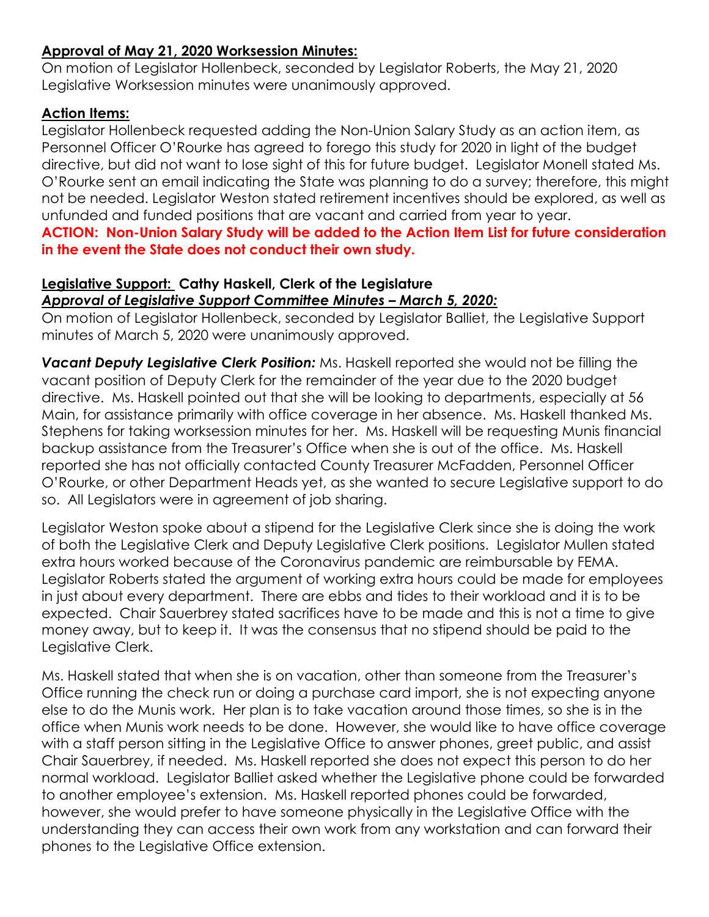#### **Approval of May 21, 2020 Worksession Minutes:**

On motion of Legislator Hollenbeck, seconded by Legislator Roberts, the May 21, 2020 Legislative Worksession minutes were unanimously approved.

#### **Action Items:**

Legislator Hollenbeck requested adding the Non-Union Salary Study as an action item, as Personnel Officer O'Rourke has agreed to forego this study for 2020 in light of the budget directive, but did not want to lose sight of this for future budget. Legislator Monell stated Ms. O'Rourke sent an email indicating the State was planning to do a survey; therefore, this might not be needed. Legislator Weston stated retirement incentives should be explored, as well as unfunded and funded positions that are vacant and carried from year to year.

**ACTION: Non-Union Salary Study will be added to the Action Item List for future consideration in the event the State does not conduct their own study.** 

#### **Legislative Support: Cathy Haskell, Clerk of the Legislature** *Approval of Legislative Support Committee Minutes – March 5, 2020:*

On motion of Legislator Hollenbeck, seconded by Legislator Balliet, the Legislative Support minutes of March 5, 2020 were unanimously approved.

*Vacant Deputy Legislative Clerk Position:* Ms. Haskell reported she would not be filling the vacant position of Deputy Clerk for the remainder of the year due to the 2020 budget directive. Ms. Haskell pointed out that she will be looking to departments, especially at 56 Main, for assistance primarily with office coverage in her absence. Ms. Haskell thanked Ms. Stephens for taking worksession minutes for her. Ms. Haskell will be requesting Munis financial backup assistance from the Treasurer's Office when she is out of the office. Ms. Haskell reported she has not officially contacted County Treasurer McFadden, Personnel Officer O'Rourke, or other Department Heads yet, as she wanted to secure Legislative support to do so. All Legislators were in agreement of job sharing.

Legislator Weston spoke about a stipend for the Legislative Clerk since she is doing the work of both the Legislative Clerk and Deputy Legislative Clerk positions. Legislator Mullen stated extra hours worked because of the Coronavirus pandemic are reimbursable by FEMA. Legislator Roberts stated the argument of working extra hours could be made for employees in just about every department. There are ebbs and tides to their workload and it is to be expected. Chair Sauerbrey stated sacrifices have to be made and this is not a time to give money away, but to keep it. It was the consensus that no stipend should be paid to the Legislative Clerk.

Ms. Haskell stated that when she is on vacation, other than someone from the Treasurer's Office running the check run or doing a purchase card import, she is not expecting anyone else to do the Munis work. Her plan is to take vacation around those times, so she is in the office when Munis work needs to be done. However, she would like to have office coverage with a staff person sitting in the Legislative Office to answer phones, greet public, and assist Chair Sauerbrey, if needed. Ms. Haskell reported she does not expect this person to do her normal workload. Legislator Balliet asked whether the Legislative phone could be forwarded to another employee's extension. Ms. Haskell reported phones could be forwarded, however, she would prefer to have someone physically in the Legislative Office with the understanding they can access their own work from any workstation and can forward their phones to the Legislative Office extension.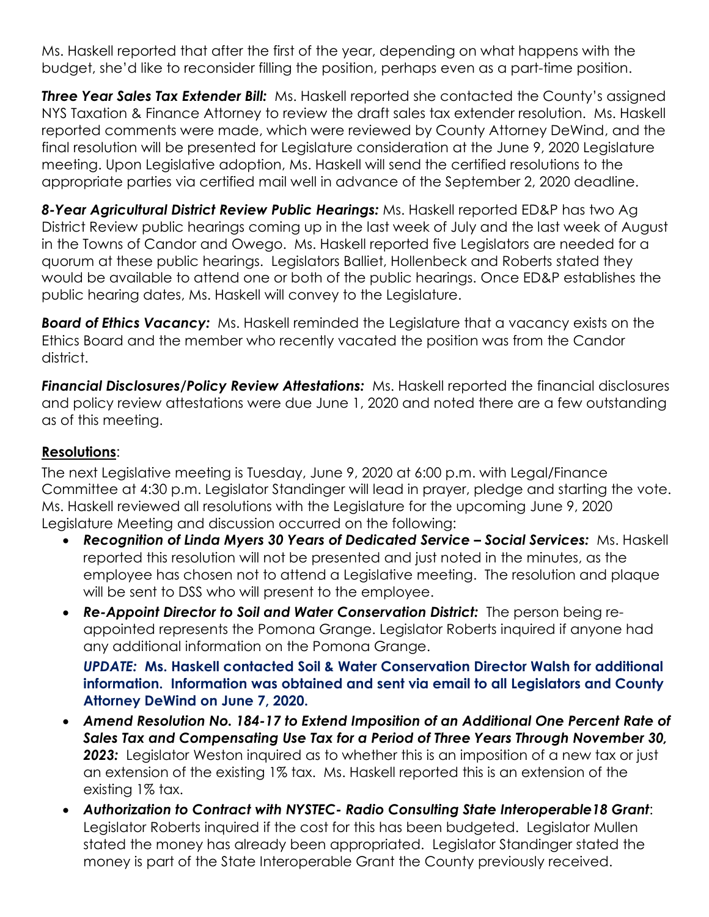Ms. Haskell reported that after the first of the year, depending on what happens with the budget, she'd like to reconsider filling the position, perhaps even as a part-time position.

**Three Year Sales Tax Extender Bill:** Ms. Haskell reported she contacted the County's assigned NYS Taxation & Finance Attorney to review the draft sales tax extender resolution. Ms. Haskell reported comments were made, which were reviewed by County Attorney DeWind, and the final resolution will be presented for Legislature consideration at the June 9, 2020 Legislature meeting. Upon Legislative adoption, Ms. Haskell will send the certified resolutions to the appropriate parties via certified mail well in advance of the September 2, 2020 deadline.

*8-Year Agricultural District Review Public Hearings:* Ms. Haskell reported ED&P has two Ag District Review public hearings coming up in the last week of July and the last week of August in the Towns of Candor and Owego. Ms. Haskell reported five Legislators are needed for a quorum at these public hearings. Legislators Balliet, Hollenbeck and Roberts stated they would be available to attend one or both of the public hearings. Once ED&P establishes the public hearing dates, Ms. Haskell will convey to the Legislature.

*Board of Ethics Vacancy:* Ms. Haskell reminded the Legislature that a vacancy exists on the Ethics Board and the member who recently vacated the position was from the Candor district.

*Financial Disclosures/Policy Review Attestations:* Ms. Haskell reported the financial disclosures and policy review attestations were due June 1, 2020 and noted there are a few outstanding as of this meeting.

#### **Resolutions**:

The next Legislative meeting is Tuesday, June 9, 2020 at 6:00 p.m. with Legal/Finance Committee at 4:30 p.m. Legislator Standinger will lead in prayer, pledge and starting the vote. Ms. Haskell reviewed all resolutions with the Legislature for the upcoming June 9, 2020 Legislature Meeting and discussion occurred on the following:

- *Recognition of Linda Myers 30 Years of Dedicated Service – Social Services:* Ms. Haskell reported this resolution will not be presented and just noted in the minutes, as the employee has chosen not to attend a Legislative meeting. The resolution and plaque will be sent to DSS who will present to the employee.
- *Re-Appoint Director to Soil and Water Conservation District:* The person being reappointed represents the Pomona Grange. Legislator Roberts inquired if anyone had any additional information on the Pomona Grange.

*UPDATE:* **Ms. Haskell contacted Soil & Water Conservation Director Walsh for additional information. Information was obtained and sent via email to all Legislators and County Attorney DeWind on June 7, 2020.** 

- *Amend Resolution No. 184-17 to Extend Imposition of an Additional One Percent Rate of Sales Tax and Compensating Use Tax for a Period of Three Years Through November 30,*  **2023:** Legislator Weston inquired as to whether this is an imposition of a new tax or just an extension of the existing 1% tax. Ms. Haskell reported this is an extension of the existing 1% tax.
- *Authorization to Contract with NYSTEC- Radio Consulting State Interoperable18 Grant*: Legislator Roberts inquired if the cost for this has been budgeted. Legislator Mullen stated the money has already been appropriated. Legislator Standinger stated the money is part of the State Interoperable Grant the County previously received.